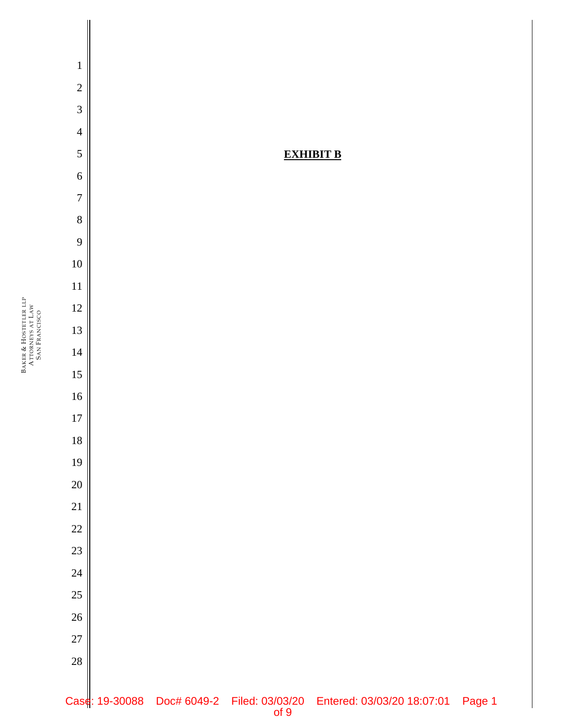BAKER & HOSTETLER LLP ATTORNEYS AT LAW SAN FRANCISCO

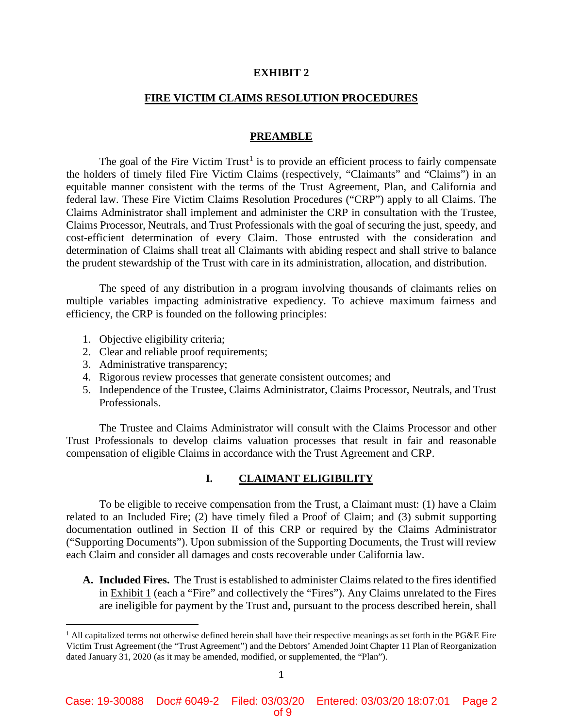#### **EXHIBIT 2**

# **FIRE VICTIM CLAIMS RESOLUTION PROCEDURES**

# **PREAMBLE**

The goal of the Fire Victim Trust<sup>1</sup> is to provide an efficient process to fairly compensate the holders of timely filed Fire Victim Claims (respectively, "Claimants" and "Claims") in an equitable manner consistent with the terms of the Trust Agreement, Plan, and California and federal law. These Fire Victim Claims Resolution Procedures ("CRP") apply to all Claims. The Claims Administrator shall implement and administer the CRP in consultation with the Trustee, Claims Processor, Neutrals, and Trust Professionals with the goal of securing the just, speedy, and cost-efficient determination of every Claim. Those entrusted with the consideration and determination of Claims shall treat all Claimants with abiding respect and shall strive to balance the prudent stewardship of the Trust with care in its administration, allocation, and distribution.

The speed of any distribution in a program involving thousands of claimants relies on multiple variables impacting administrative expediency. To achieve maximum fairness and efficiency, the CRP is founded on the following principles:

- 1. Objective eligibility criteria;
- 2. Clear and reliable proof requirements;
- 3. Administrative transparency;

 $\overline{a}$ 

- 4. Rigorous review processes that generate consistent outcomes; and
- 5. Independence of the Trustee, Claims Administrator, Claims Processor, Neutrals, and Trust Professionals.

The Trustee and Claims Administrator will consult with the Claims Processor and other Trust Professionals to develop claims valuation processes that result in fair and reasonable compensation of eligible Claims in accordance with the Trust Agreement and CRP.

# **I. CLAIMANT ELIGIBILITY**

To be eligible to receive compensation from the Trust, a Claimant must: (1) have a Claim related to an Included Fire; (2) have timely filed a Proof of Claim; and (3) submit supporting documentation outlined in Section II of this CRP or required by the Claims Administrator ("Supporting Documents"). Upon submission of the Supporting Documents, the Trust will review each Claim and consider all damages and costs recoverable under California law.

**A. Included Fires.** The Trust is established to administer Claims related to the fires identified in Exhibit 1 (each a "Fire" and collectively the "Fires"). Any Claims unrelated to the Fires are ineligible for payment by the Trust and, pursuant to the process described herein, shall

 $1$  All capitalized terms not otherwise defined herein shall have their respective meanings as set forth in the PG&E Fire Victim Trust Agreement (the "Trust Agreement") and the Debtors' Amended Joint Chapter 11 Plan of Reorganization dated January 31, 2020 (as it may be amended, modified, or supplemented, the "Plan").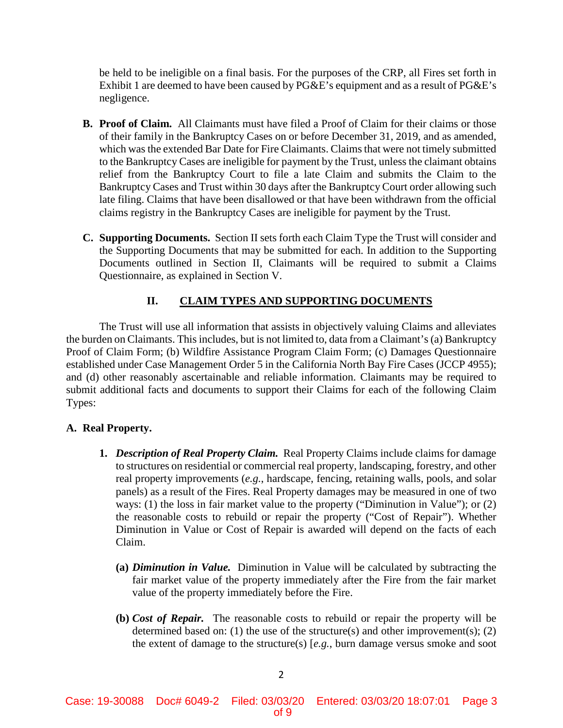be held to be ineligible on a final basis. For the purposes of the CRP, all Fires set forth in Exhibit 1 are deemed to have been caused by  $P G \& E$ 's equipment and as a result of  $P G \& E$ 's negligence.

- **B. Proof of Claim.** All Claimants must have filed a Proof of Claim for their claims or those of their family in the Bankruptcy Cases on or before December 31, 2019, and as amended, which was the extended Bar Date for Fire Claimants. Claims that were not timely submitted to the Bankruptcy Cases are ineligible for payment by the Trust, unless the claimant obtains relief from the Bankruptcy Court to file a late Claim and submits the Claim to the Bankruptcy Cases and Trust within 30 days after the Bankruptcy Court order allowing such late filing. Claims that have been disallowed or that have been withdrawn from the official claims registry in the Bankruptcy Cases are ineligible for payment by the Trust.
- **C. Supporting Documents.** Section II sets forth each Claim Type the Trust will consider and the Supporting Documents that may be submitted for each. In addition to the Supporting Documents outlined in Section II, Claimants will be required to submit a Claims Questionnaire, as explained in Section V.

# **II. CLAIM TYPES AND SUPPORTING DOCUMENTS**

The Trust will use all information that assists in objectively valuing Claims and alleviates the burden on Claimants. This includes, but is not limited to, data from a Claimant's (a) Bankruptcy Proof of Claim Form; (b) Wildfire Assistance Program Claim Form; (c) Damages Questionnaire established under Case Management Order 5 in the California North Bay Fire Cases (JCCP 4955); and (d) other reasonably ascertainable and reliable information. Claimants may be required to submit additional facts and documents to support their Claims for each of the following Claim Types:

# **A. Real Property.**

- **1.** *Description of Real Property Claim.* Real Property Claims include claims for damage to structures on residential or commercial real property, landscaping, forestry, and other real property improvements (*e.g.*, hardscape, fencing, retaining walls, pools, and solar panels) as a result of the Fires. Real Property damages may be measured in one of two ways: (1) the loss in fair market value to the property ("Diminution in Value"); or (2) the reasonable costs to rebuild or repair the property ("Cost of Repair"). Whether Diminution in Value or Cost of Repair is awarded will depend on the facts of each Claim.
	- **(a)** *Diminution in Value.* Diminution in Value will be calculated by subtracting the fair market value of the property immediately after the Fire from the fair market value of the property immediately before the Fire.
	- **(b)** *Cost of Repair.* The reasonable costs to rebuild or repair the property will be determined based on: (1) the use of the structure(s) and other improvement(s); (2) the extent of damage to the structure(s) [*e.g.*, burn damage versus smoke and soot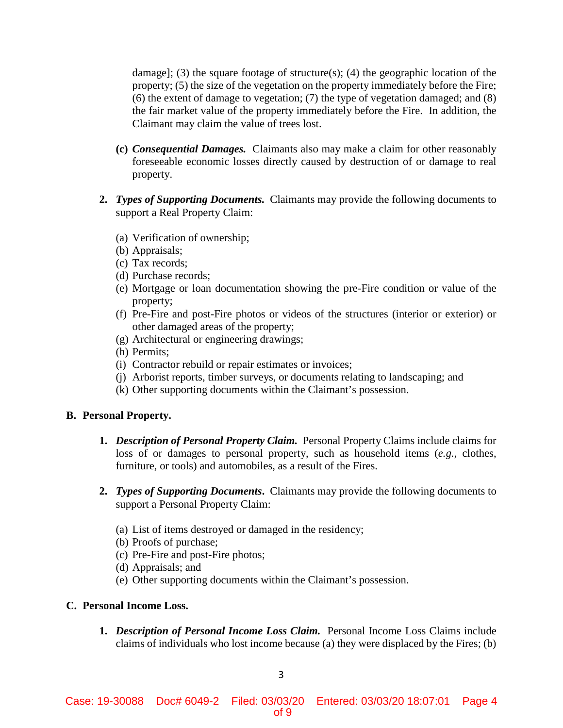damage]; (3) the square footage of structure(s); (4) the geographic location of the property; (5) the size of the vegetation on the property immediately before the Fire; (6) the extent of damage to vegetation; (7) the type of vegetation damaged; and (8) the fair market value of the property immediately before the Fire. In addition, the Claimant may claim the value of trees lost.

- **(c)** *Consequential Damages.* Claimants also may make a claim for other reasonably foreseeable economic losses directly caused by destruction of or damage to real property.
- **2.** *Types of Supporting Documents.* Claimants may provide the following documents to support a Real Property Claim:
	- (a) Verification of ownership;
	- (b) Appraisals;
	- (c) Tax records;
	- (d) Purchase records;
	- (e) Mortgage or loan documentation showing the pre-Fire condition or value of the property;
	- (f) Pre-Fire and post-Fire photos or videos of the structures (interior or exterior) or other damaged areas of the property;
	- (g) Architectural or engineering drawings;
	- (h) Permits;
	- (i) Contractor rebuild or repair estimates or invoices;
	- (j) Arborist reports, timber surveys, or documents relating to landscaping; and
	- (k) Other supporting documents within the Claimant's possession.

# **B. Personal Property.**

- **1.** *Description of Personal Property Claim.* Personal Property Claims include claims for loss of or damages to personal property, such as household items (*e.g.*, clothes, furniture, or tools) and automobiles, as a result of the Fires.
- **2.** *Types of Supporting Documents***.** Claimants may provide the following documents to support a Personal Property Claim:
	- (a) List of items destroyed or damaged in the residency;
	- (b) Proofs of purchase;
	- (c) Pre-Fire and post-Fire photos;
	- (d) Appraisals; and
	- (e) Other supporting documents within the Claimant's possession.

# **C. Personal Income Loss.**

**1.** *Description of Personal Income Loss Claim.* Personal Income Loss Claims include claims of individuals who lost income because (a) they were displaced by the Fires; (b)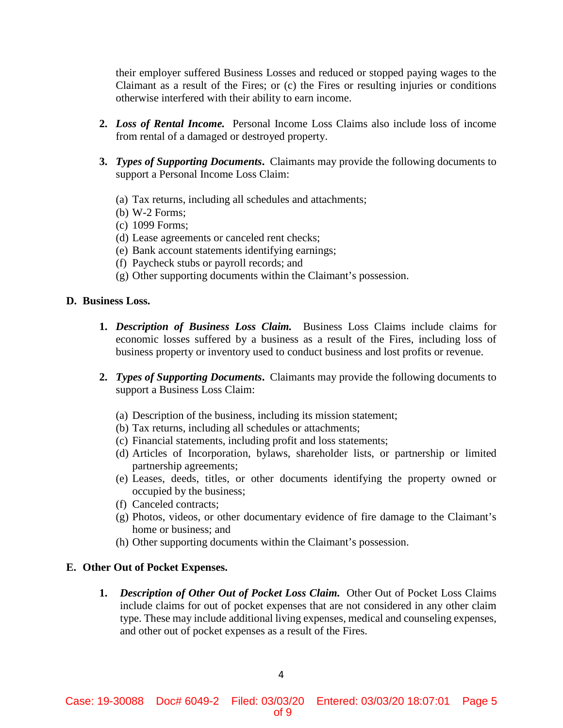their employer suffered Business Losses and reduced or stopped paying wages to the Claimant as a result of the Fires; or (c) the Fires or resulting injuries or conditions otherwise interfered with their ability to earn income.

- **2.** *Loss of Rental Income.* Personal Income Loss Claims also include loss of income from rental of a damaged or destroyed property.
- **3.** *Types of Supporting Documents***.** Claimants may provide the following documents to support a Personal Income Loss Claim:
	- (a) Tax returns, including all schedules and attachments;
	- (b) W-2 Forms;
	- (c) 1099 Forms;
	- (d) Lease agreements or canceled rent checks;
	- (e) Bank account statements identifying earnings;
	- (f) Paycheck stubs or payroll records; and
	- (g) Other supporting documents within the Claimant's possession.

# **D. Business Loss.**

- **1.** *Description of Business Loss Claim.* Business Loss Claims include claims for economic losses suffered by a business as a result of the Fires, including loss of business property or inventory used to conduct business and lost profits or revenue.
- **2.** *Types of Supporting Documents***.** Claimants may provide the following documents to support a Business Loss Claim:
	- (a) Description of the business, including its mission statement;
	- (b) Tax returns, including all schedules or attachments;
	- (c) Financial statements, including profit and loss statements;
	- (d) Articles of Incorporation, bylaws, shareholder lists, or partnership or limited partnership agreements;
	- (e) Leases, deeds, titles, or other documents identifying the property owned or occupied by the business;
	- (f) Canceled contracts;
	- (g) Photos, videos, or other documentary evidence of fire damage to the Claimant's home or business; and
	- (h) Other supporting documents within the Claimant's possession.

# **E. Other Out of Pocket Expenses.**

**1.** *Description of Other Out of Pocket Loss Claim.* Other Out of Pocket Loss Claims include claims for out of pocket expenses that are not considered in any other claim type. These may include additional living expenses, medical and counseling expenses, and other out of pocket expenses as a result of the Fires.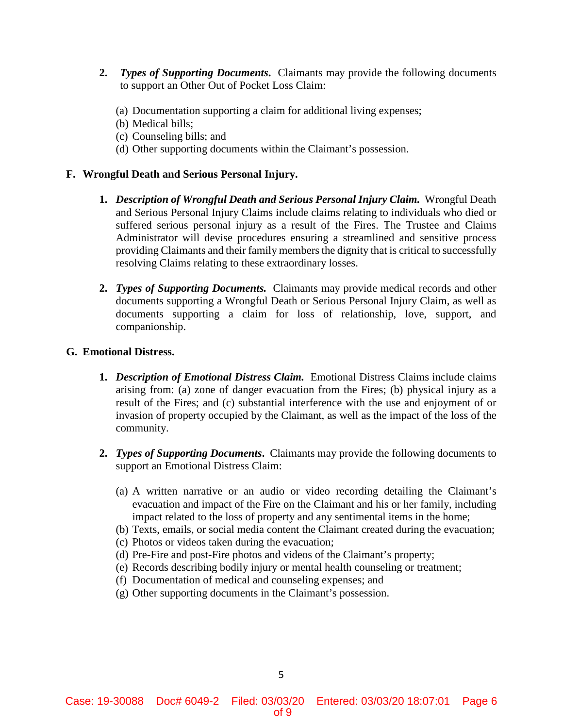- **2.** *Types of Supporting Documents***.**Claimants may provide the following documents to support an Other Out of Pocket Loss Claim:
	- (a) Documentation supporting a claim for additional living expenses;
	- (b) Medical bills;
	- (c) Counseling bills; and
	- (d) Other supporting documents within the Claimant's possession.

# **F. Wrongful Death and Serious Personal Injury.**

- **1.** *Description of Wrongful Death and Serious Personal Injury Claim.* Wrongful Death and Serious Personal Injury Claims include claims relating to individuals who died or suffered serious personal injury as a result of the Fires. The Trustee and Claims Administrator will devise procedures ensuring a streamlined and sensitive process providing Claimants and their family members the dignity that is critical to successfully resolving Claims relating to these extraordinary losses.
- **2.** *Types of Supporting Documents.* Claimants may provide medical records and other documents supporting a Wrongful Death or Serious Personal Injury Claim, as well as documents supporting a claim for loss of relationship, love, support, and companionship.

# **G. Emotional Distress.**

- **1.** *Description of Emotional Distress Claim.* Emotional Distress Claims include claims arising from: (a) zone of danger evacuation from the Fires; (b) physical injury as a result of the Fires; and (c) substantial interference with the use and enjoyment of or invasion of property occupied by the Claimant, as well as the impact of the loss of the community.
- **2.** *Types of Supporting Documents***.** Claimants may provide the following documents to support an Emotional Distress Claim:
	- (a) A written narrative or an audio or video recording detailing the Claimant's evacuation and impact of the Fire on the Claimant and his or her family, including impact related to the loss of property and any sentimental items in the home;
	- (b) Texts, emails, or social media content the Claimant created during the evacuation;
	- (c) Photos or videos taken during the evacuation;
	- (d) Pre-Fire and post-Fire photos and videos of the Claimant's property;
	- (e) Records describing bodily injury or mental health counseling or treatment;
	- (f) Documentation of medical and counseling expenses; and
	- (g) Other supporting documents in the Claimant's possession.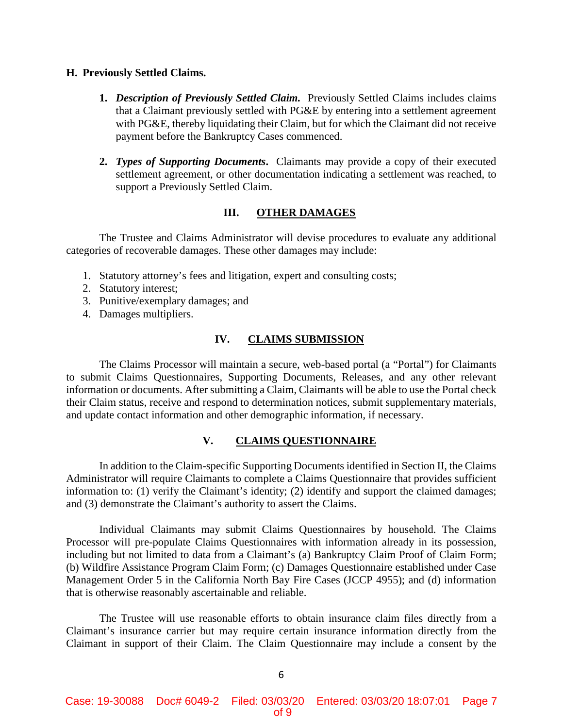#### **H. Previously Settled Claims.**

- **1.** *Description of Previously Settled Claim.* Previously Settled Claims includes claims that a Claimant previously settled with PG&E by entering into a settlement agreement with PG&E, thereby liquidating their Claim, but for which the Claimant did not receive payment before the Bankruptcy Cases commenced.
- **2.** *Types of Supporting Documents***.** Claimants may provide a copy of their executed settlement agreement, or other documentation indicating a settlement was reached, to support a Previously Settled Claim.

# **III. OTHER DAMAGES**

The Trustee and Claims Administrator will devise procedures to evaluate any additional categories of recoverable damages. These other damages may include:

- 1. Statutory attorney's fees and litigation, expert and consulting costs;
- 2. Statutory interest;
- 3. Punitive/exemplary damages; and
- 4. Damages multipliers.

# **IV. CLAIMS SUBMISSION**

The Claims Processor will maintain a secure, web-based portal (a "Portal") for Claimants to submit Claims Questionnaires, Supporting Documents, Releases, and any other relevant information or documents. After submitting a Claim, Claimants will be able to use the Portal check their Claim status, receive and respond to determination notices, submit supplementary materials, and update contact information and other demographic information, if necessary.

# **V. CLAIMS QUESTIONNAIRE**

In addition to the Claim-specific Supporting Documents identified in Section II, the Claims Administrator will require Claimants to complete a Claims Questionnaire that provides sufficient information to: (1) verify the Claimant's identity; (2) identify and support the claimed damages; and (3) demonstrate the Claimant's authority to assert the Claims.

Individual Claimants may submit Claims Questionnaires by household. The Claims Processor will pre-populate Claims Questionnaires with information already in its possession, including but not limited to data from a Claimant's (a) Bankruptcy Claim Proof of Claim Form; (b) Wildfire Assistance Program Claim Form; (c) Damages Questionnaire established under Case Management Order 5 in the California North Bay Fire Cases (JCCP 4955); and (d) information that is otherwise reasonably ascertainable and reliable.

The Trustee will use reasonable efforts to obtain insurance claim files directly from a Claimant's insurance carrier but may require certain insurance information directly from the Claimant in support of their Claim. The Claim Questionnaire may include a consent by the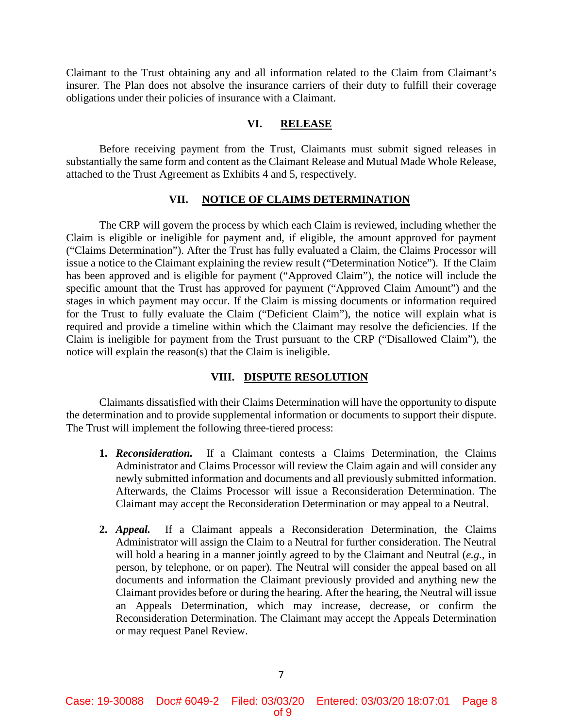Claimant to the Trust obtaining any and all information related to the Claim from Claimant's insurer. The Plan does not absolve the insurance carriers of their duty to fulfill their coverage obligations under their policies of insurance with a Claimant.

# **VI. RELEASE**

Before receiving payment from the Trust, Claimants must submit signed releases in substantially the same form and content as the Claimant Release and Mutual Made Whole Release, attached to the Trust Agreement as Exhibits 4 and 5, respectively.

### **VII. NOTICE OF CLAIMS DETERMINATION**

The CRP will govern the process by which each Claim is reviewed, including whether the Claim is eligible or ineligible for payment and, if eligible, the amount approved for payment ("Claims Determination"). After the Trust has fully evaluated a Claim, the Claims Processor will issue a notice to the Claimant explaining the review result ("Determination Notice"). If the Claim has been approved and is eligible for payment ("Approved Claim"), the notice will include the specific amount that the Trust has approved for payment ("Approved Claim Amount") and the stages in which payment may occur. If the Claim is missing documents or information required for the Trust to fully evaluate the Claim ("Deficient Claim"), the notice will explain what is required and provide a timeline within which the Claimant may resolve the deficiencies. If the Claim is ineligible for payment from the Trust pursuant to the CRP ("Disallowed Claim"), the notice will explain the reason(s) that the Claim is ineligible.

#### **VIII. DISPUTE RESOLUTION**

Claimants dissatisfied with their Claims Determination will have the opportunity to dispute the determination and to provide supplemental information or documents to support their dispute. The Trust will implement the following three-tiered process:

- **1.** *Reconsideration.* If a Claimant contests a Claims Determination, the Claims Administrator and Claims Processor will review the Claim again and will consider any newly submitted information and documents and all previously submitted information. Afterwards, the Claims Processor will issue a Reconsideration Determination. The Claimant may accept the Reconsideration Determination or may appeal to a Neutral.
- **2.** *Appeal.* If a Claimant appeals a Reconsideration Determination, the Claims Administrator will assign the Claim to a Neutral for further consideration. The Neutral will hold a hearing in a manner jointly agreed to by the Claimant and Neutral (*e.g.*, in person, by telephone, or on paper). The Neutral will consider the appeal based on all documents and information the Claimant previously provided and anything new the Claimant provides before or during the hearing. After the hearing, the Neutral will issue an Appeals Determination, which may increase, decrease, or confirm the Reconsideration Determination. The Claimant may accept the Appeals Determination or may request Panel Review.